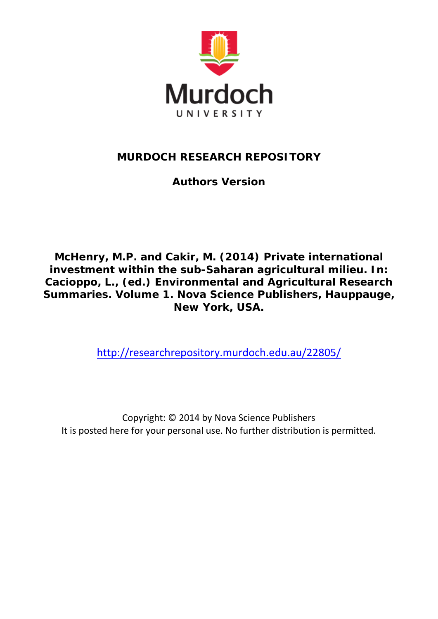

## **MURDOCH RESEARCH REPOSITORY**

**Authors Version**

*McHenry, M.P. and Cakir, M. (2014) Private international investment within the sub-Saharan agricultural milieu. In: Cacioppo, L., (ed.) Environmental and Agricultural Research Summaries. Volume 1. Nova Science Publishers, Hauppauge, New York, USA.*

<http://researchrepository.murdoch.edu.au/22805/>

Copyright: © 2014 by Nova Science Publishers It is posted here for your personal use. No further distribution is permitted.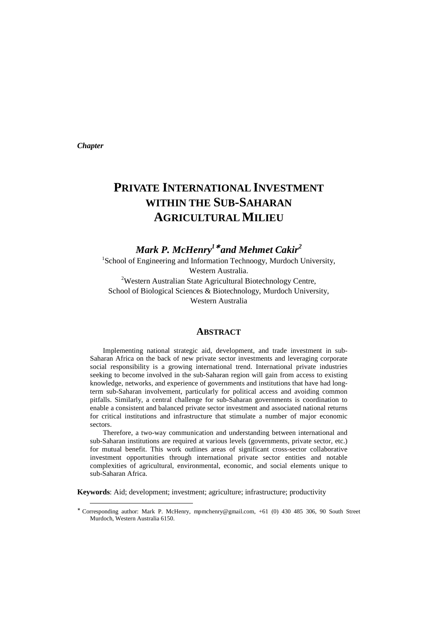*Chapter* 

 $\overline{a}$ 

# **PRIVATE INTERNATIONAL INVESTMENT WITHIN THE SUB-SAHARAN AGRICULTURAL MILIEU**

*Mark P. McHenry<sup>1</sup>*<sup>∗</sup>  *and Mehmet Cakir<sup>2</sup>*

<sup>1</sup>School of Engineering and Information Technoogy, Murdoch University, Western Australia.

<sup>2</sup>Western Australian State Agricultural Biotechnology Centre, School of Biological Sciences & Biotechnology, Murdoch University, Western Australia

#### **ABSTRACT**

Implementing national strategic aid, development, and trade investment in sub-Saharan Africa on the back of new private sector investments and leveraging corporate social responsibility is a growing international trend. International private industries seeking to become involved in the sub-Saharan region will gain from access to existing knowledge, networks, and experience of governments and institutions that have had longterm sub-Saharan involvement, particularly for political access and avoiding common pitfalls. Similarly, a central challenge for sub-Saharan governments is coordination to enable a consistent and balanced private sector investment and associated national returns for critical institutions and infrastructure that stimulate a number of major economic sectors.

Therefore, a two-way communication and understanding between international and sub-Saharan institutions are required at various levels (governments, private sector, etc.) for mutual benefit. This work outlines areas of significant cross-sector collaborative investment opportunities through international private sector entities and notable complexities of agricultural, environmental, economic, and social elements unique to sub-Saharan Africa.

**Keywords**: Aid; development; investment; agriculture; infrastructure; productivity

<sup>∗</sup> Corresponding author: Mark P. McHenry, mpmchenry@gmail.com, +61 (0) 430 485 306, 90 South Street Murdoch, Western Australia 6150.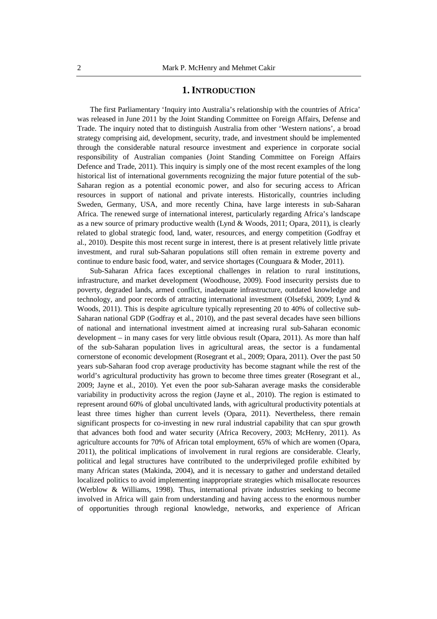#### **1. INTRODUCTION**

The first Parliamentary 'Inquiry into Australia's relationship with the countries of Africa' was released in June 2011 by the Joint Standing Committee on Foreign Affairs, Defense and Trade. The inquiry noted that to distinguish Australia from other 'Western nations', a broad strategy comprising aid, development, security, trade, and investment should be implemented through the considerable natural resource investment and experience in corporate social responsibility of Australian companies (Joint Standing Committee on Foreign Affairs Defence and Trade, 2011). This inquiry is simply one of the most recent examples of the long historical list of international governments recognizing the major future potential of the sub-Saharan region as a potential economic power, and also for securing access to African resources in support of national and private interests. Historically, countries including Sweden, Germany, USA, and more recently China, have large interests in sub-Saharan Africa. The renewed surge of international interest, particularly regarding Africa's landscape as a new source of primary productive wealth (Lynd & Woods, 2011; Opara, 2011), is clearly related to global strategic food, land, water, resources, and energy competition (Godfray et al., 2010). Despite this most recent surge in interest, there is at present relatively little private investment, and rural sub-Saharan populations still often remain in extreme poverty and continue to endure basic food, water, and service shortages (Counguara & Moder, 2011).

Sub-Saharan Africa faces exceptional challenges in relation to rural institutions, infrastructure, and market development (Woodhouse, 2009). Food insecurity persists due to poverty, degraded lands, armed conflict, inadequate infrastructure, outdated knowledge and technology, and poor records of attracting international investment (Olsefski, 2009; Lynd & Woods, 2011). This is despite agriculture typically representing 20 to 40% of collective sub-Saharan national GDP (Godfray et al., 2010), and the past several decades have seen billions of national and international investment aimed at increasing rural sub-Saharan economic development – in many cases for very little obvious result (Opara, 2011). As more than half of the sub-Saharan population lives in agricultural areas, the sector is a fundamental cornerstone of economic development (Rosegrant et al., 2009; Opara, 2011). Over the past 50 years sub-Saharan food crop average productivity has become stagnant while the rest of the world's agricultural productivity has grown to become three times greater (Rosegrant et al., 2009; Jayne et al., 2010). Yet even the poor sub-Saharan average masks the considerable variability in productivity across the region (Jayne et al., 2010). The region is estimated to represent around 60% of global uncultivated lands, with agricultural productivity potentials at least three times higher than current levels (Opara, 2011). Nevertheless, there remain significant prospects for co-investing in new rural industrial capability that can spur growth that advances both food and water security (Africa Recovery, 2003; McHenry, 2011). As agriculture accounts for 70% of African total employment, 65% of which are women (Opara, 2011), the political implications of involvement in rural regions are considerable. Clearly, political and legal structures have contributed to the underprivileged profile exhibited by many African states (Makinda, 2004), and it is necessary to gather and understand detailed localized politics to avoid implementing inappropriate strategies which misallocate resources (Werblow & Williams, 1998). Thus, international private industries seeking to become involved in Africa will gain from understanding and having access to the enormous number of opportunities through regional knowledge, networks, and experience of African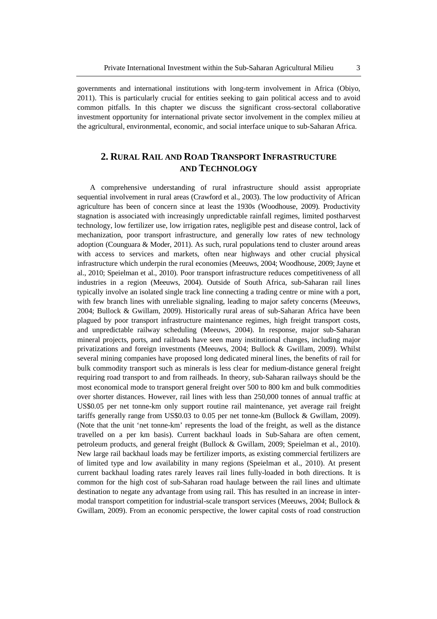governments and international institutions with long-term involvement in Africa (Obiyo, 2011). This is particularly crucial for entities seeking to gain political access and to avoid common pitfalls. In this chapter we discuss the significant cross-sectoral collaborative investment opportunity for international private sector involvement in the complex milieu at the agricultural, environmental, economic, and social interface unique to sub-Saharan Africa.

## **2. RURAL RAIL AND ROAD TRANSPORT INFRASTRUCTURE AND TECHNOLOGY**

A comprehensive understanding of rural infrastructure should assist appropriate sequential involvement in rural areas (Crawford et al., 2003). The low productivity of African agriculture has been of concern since at least the 1930s (Woodhouse, 2009). Productivity stagnation is associated with increasingly unpredictable rainfall regimes, limited postharvest technology, low fertilizer use, low irrigation rates, negligible pest and disease control, lack of mechanization, poor transport infrastructure, and generally low rates of new technology adoption (Counguara & Moder, 2011). As such, rural populations tend to cluster around areas with access to services and markets, often near highways and other crucial physical infrastructure which underpin the rural economies (Meeuws, 2004; Woodhouse, 2009; Jayne et al., 2010; Speielman et al., 2010). Poor transport infrastructure reduces competitiveness of all industries in a region (Meeuws, 2004). Outside of South Africa, sub-Saharan rail lines typically involve an isolated single track line connecting a trading centre or mine with a port, with few branch lines with unreliable signaling, leading to major safety concerns (Meeuws, 2004; Bullock & Gwillam, 2009). Historically rural areas of sub-Saharan Africa have been plagued by poor transport infrastructure maintenance regimes, high freight transport costs, and unpredictable railway scheduling (Meeuws, 2004). In response, major sub-Saharan mineral projects, ports, and railroads have seen many institutional changes, including major privatizations and foreign investments (Meeuws, 2004; Bullock & Gwillam, 2009). Whilst several mining companies have proposed long dedicated mineral lines, the benefits of rail for bulk commodity transport such as minerals is less clear for medium-distance general freight requiring road transport to and from railheads. In theory, sub-Saharan railways should be the most economical mode to transport general freight over 500 to 800 km and bulk commodities over shorter distances. However, rail lines with less than 250,000 tonnes of annual traffic at US\$0.05 per net tonne-km only support routine rail maintenance, yet average rail freight tariffs generally range from US\$0.03 to 0.05 per net tonne-km (Bullock & Gwillam, 2009). (Note that the unit 'net tonne-km' represents the load of the freight, as well as the distance travelled on a per km basis). Current backhaul loads in Sub-Sahara are often cement, petroleum products, and general freight (Bullock & Gwillam, 2009; Speielman et al., 2010). New large rail backhaul loads may be fertilizer imports, as existing commercial fertilizers are of limited type and low availability in many regions (Speielman et al., 2010). At present current backhaul loading rates rarely leaves rail lines fully-loaded in both directions. It is common for the high cost of sub-Saharan road haulage between the rail lines and ultimate destination to negate any advantage from using rail. This has resulted in an increase in intermodal transport competition for industrial-scale transport services (Meeuws, 2004; Bullock & Gwillam, 2009). From an economic perspective, the lower capital costs of road construction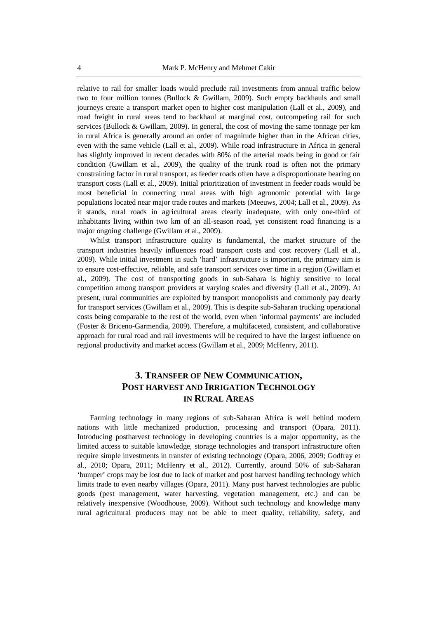relative to rail for smaller loads would preclude rail investments from annual traffic below two to four million tonnes (Bullock & Gwillam, 2009). Such empty backhauls and small journeys create a transport market open to higher cost manipulation (Lall et al., 2009), and road freight in rural areas tend to backhaul at marginal cost, outcompeting rail for such services (Bullock & Gwillam, 2009). In general, the cost of moving the same tonnage per km in rural Africa is generally around an order of magnitude higher than in the African cities, even with the same vehicle (Lall et al., 2009). While road infrastructure in Africa in general has slightly improved in recent decades with 80% of the arterial roads being in good or fair condition (Gwillam et al., 2009), the quality of the trunk road is often not the primary constraining factor in rural transport, as feeder roads often have a disproportionate bearing on transport costs (Lall et al., 2009). Initial prioritization of investment in feeder roads would be most beneficial in connecting rural areas with high agronomic potential with large populations located near major trade routes and markets (Meeuws, 2004; Lall et al., 2009). As it stands, rural roads in agricultural areas clearly inadequate, with only one-third of inhabitants living within two km of an all-season road, yet consistent road financing is a major ongoing challenge (Gwillam et al., 2009).

Whilst transport infrastructure quality is fundamental, the market structure of the transport industries heavily influences road transport costs and cost recovery (Lall et al., 2009). While initial investment in such 'hard' infrastructure is important, the primary aim is to ensure cost-effective, reliable, and safe transport services over time in a region (Gwillam et al., 2009). The cost of transporting goods in sub-Sahara is highly sensitive to local competition among transport providers at varying scales and diversity (Lall et al., 2009). At present, rural communities are exploited by transport monopolists and commonly pay dearly for transport services (Gwillam et al., 2009). This is despite sub-Saharan trucking operational costs being comparable to the rest of the world, even when 'informal payments' are included (Foster & Briceno-Garmendia, 2009). Therefore, a multifaceted, consistent, and collaborative approach for rural road and rail investments will be required to have the largest influence on regional productivity and market access (Gwillam et al., 2009; McHenry, 2011).

## **3. TRANSFER OF NEW COMMUNICATION, POST HARVEST AND IRRIGATION TECHNOLOGY IN RURAL AREAS**

Farming technology in many regions of sub-Saharan Africa is well behind modern nations with little mechanized production, processing and transport (Opara, 2011). Introducing postharvest technology in developing countries is a major opportunity, as the limited access to suitable knowledge, storage technologies and transport infrastructure often require simple investments in transfer of existing technology (Opara, 2006, 2009; Godfray et al., 2010; Opara, 2011; McHenry et al., 2012). Currently, around 50% of sub-Saharan 'bumper' crops may be lost due to lack of market and post harvest handling technology which limits trade to even nearby villages (Opara, 2011). Many post harvest technologies are public goods (pest management, water harvesting, vegetation management, etc.) and can be relatively inexpensive (Woodhouse, 2009). Without such technology and knowledge many rural agricultural producers may not be able to meet quality, reliability, safety, and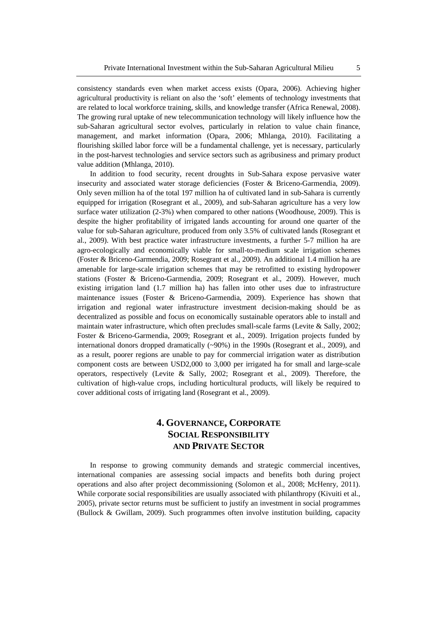consistency standards even when market access exists (Opara, 2006). Achieving higher agricultural productivity is reliant on also the 'soft' elements of technology investments that are related to local workforce training, skills, and knowledge transfer (Africa Renewal, 2008). The growing rural uptake of new telecommunication technology will likely influence how the sub-Saharan agricultural sector evolves, particularly in relation to value chain finance, management, and market information (Opara, 2006; Mhlanga, 2010). Facilitating a flourishing skilled labor force will be a fundamental challenge, yet is necessary, particularly in the post-harvest technologies and service sectors such as agribusiness and primary product value addition (Mhlanga, 2010).

In addition to food security, recent droughts in Sub-Sahara expose pervasive water insecurity and associated water storage deficiencies (Foster & Briceno-Garmendia, 2009). Only seven million ha of the total 197 million ha of cultivated land in sub-Sahara is currently equipped for irrigation (Rosegrant et al., 2009), and sub-Saharan agriculture has a very low surface water utilization (2-3%) when compared to other nations (Woodhouse, 2009). This is despite the higher profitability of irrigated lands accounting for around one quarter of the value for sub-Saharan agriculture, produced from only 3.5% of cultivated lands (Rosegrant et al., 2009). With best practice water infrastructure investments, a further 5-7 million ha are agro-ecologically and economically viable for small-to-medium scale irrigation schemes (Foster & Briceno-Garmendia, 2009; Rosegrant et al., 2009). An additional 1.4 million ha are amenable for large-scale irrigation schemes that may be retrofitted to existing hydropower stations (Foster & Briceno-Garmendia, 2009; Rosegrant et al., 2009). However, much existing irrigation land (1.7 million ha) has fallen into other uses due to infrastructure maintenance issues (Foster & Briceno-Garmendia, 2009). Experience has shown that irrigation and regional water infrastructure investment decision-making should be as decentralized as possible and focus on economically sustainable operators able to install and maintain water infrastructure, which often precludes small-scale farms (Levite & Sally, 2002; Foster & Briceno-Garmendia, 2009; Rosegrant et al., 2009). Irrigation projects funded by international donors dropped dramatically (~90%) in the 1990s (Rosegrant et al., 2009), and as a result, poorer regions are unable to pay for commercial irrigation water as distribution component costs are between USD2,000 to 3,000 per irrigated ha for small and large-scale operators, respectively (Levite & Sally, 2002; Rosegrant et al., 2009). Therefore, the cultivation of high-value crops, including horticultural products, will likely be required to cover additional costs of irrigating land (Rosegrant et al., 2009).

## **4. GOVERNANCE, CORPORATE SOCIAL RESPONSIBILITY AND PRIVATE SECTOR**

In response to growing community demands and strategic commercial incentives, international companies are assessing social impacts and benefits both during project operations and also after project decommissioning (Solomon et al., 2008; McHenry, 2011). While corporate social responsibilities are usually associated with philanthropy (Kivuiti et al., 2005), private sector returns must be sufficient to justify an investment in social programmes (Bullock & Gwillam, 2009). Such programmes often involve institution building, capacity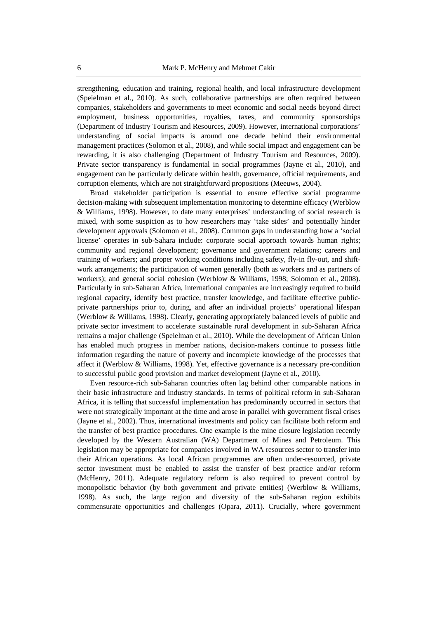strengthening, education and training, regional health, and local infrastructure development (Speielman et al., 2010). As such, collaborative partnerships are often required between companies, stakeholders and governments to meet economic and social needs beyond direct employment, business opportunities, royalties, taxes, and community sponsorships (Department of Industry Tourism and Resources, 2009). However, international corporations' understanding of social impacts is around one decade behind their environmental management practices (Solomon et al., 2008), and while social impact and engagement can be rewarding, it is also challenging (Department of Industry Tourism and Resources, 2009). Private sector transparency is fundamental in social programmes (Jayne et al., 2010), and engagement can be particularly delicate within health, governance, official requirements, and corruption elements, which are not straightforward propositions (Meeuws, 2004).

Broad stakeholder participation is essential to ensure effective social programme decision-making with subsequent implementation monitoring to determine efficacy (Werblow & Williams, 1998). However, to date many enterprises' understanding of social research is mixed, with some suspicion as to how researchers may 'take sides' and potentially hinder development approvals (Solomon et al., 2008). Common gaps in understanding how a 'social license' operates in sub-Sahara include: corporate social approach towards human rights; community and regional development; governance and government relations; careers and training of workers; and proper working conditions including safety, fly-in fly-out, and shiftwork arrangements; the participation of women generally (both as workers and as partners of workers); and general social cohesion (Werblow & Williams, 1998; Solomon et al., 2008). Particularly in sub-Saharan Africa, international companies are increasingly required to build regional capacity, identify best practice, transfer knowledge, and facilitate effective publicprivate partnerships prior to, during, and after an individual projects' operational lifespan (Werblow & Williams, 1998). Clearly, generating appropriately balanced levels of public and private sector investment to accelerate sustainable rural development in sub-Saharan Africa remains a major challenge (Speielman et al., 2010). While the development of African Union has enabled much progress in member nations, decision-makers continue to possess little information regarding the nature of poverty and incomplete knowledge of the processes that affect it (Werblow & Williams, 1998). Yet, effective governance is a necessary pre-condition to successful public good provision and market development (Jayne et al., 2010).

Even resource-rich sub-Saharan countries often lag behind other comparable nations in their basic infrastructure and industry standards. In terms of political reform in sub-Saharan Africa, it is telling that successful implementation has predominantly occurred in sectors that were not strategically important at the time and arose in parallel with government fiscal crises (Jayne et al., 2002). Thus, international investments and policy can facilitate both reform and the transfer of best practice procedures. One example is the mine closure legislation recently developed by the Western Australian (WA) Department of Mines and Petroleum. This legislation may be appropriate for companies involved in WA resources sector to transfer into their African operations. As local African programmes are often under-resourced, private sector investment must be enabled to assist the transfer of best practice and/or reform (McHenry, 2011). Adequate regulatory reform is also required to prevent control by monopolistic behavior (by both government and private entities) (Werblow & Williams, 1998). As such, the large region and diversity of the sub-Saharan region exhibits commensurate opportunities and challenges (Opara, 2011). Crucially, where government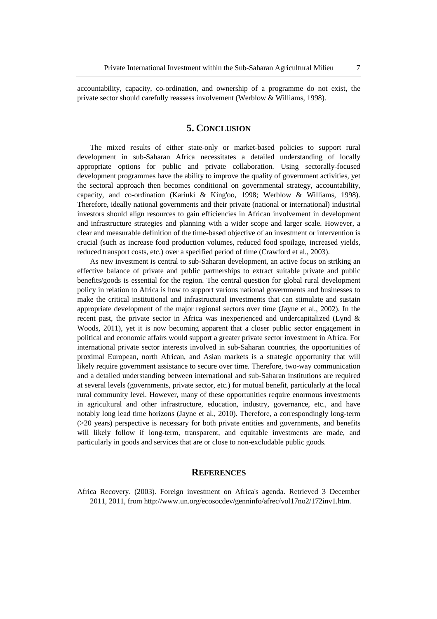accountability, capacity, co-ordination, and ownership of a programme do not exist, the private sector should carefully reassess involvement (Werblow & Williams, 1998).

#### **5. CONCLUSION**

The mixed results of either state-only or market-based policies to support rural development in sub-Saharan Africa necessitates a detailed understanding of locally appropriate options for public and private collaboration. Using sectorally-focused development programmes have the ability to improve the quality of government activities, yet the sectoral approach then becomes conditional on governmental strategy, accountability, capacity, and co-ordination (Kariuki & King'oo, 1998; Werblow & Williams, 1998). Therefore, ideally national governments and their private (national or international) industrial investors should align resources to gain efficiencies in African involvement in development and infrastructure strategies and planning with a wider scope and larger scale. However, a clear and measurable definition of the time-based objective of an investment or intervention is crucial (such as increase food production volumes, reduced food spoilage, increased yields, reduced transport costs, etc.) over a specified period of time (Crawford et al., 2003).

As new investment is central to sub-Saharan development, an active focus on striking an effective balance of private and public partnerships to extract suitable private and public benefits/goods is essential for the region. The central question for global rural development policy in relation to Africa is how to support various national governments and businesses to make the critical institutional and infrastructural investments that can stimulate and sustain appropriate development of the major regional sectors over time (Jayne et al., 2002). In the recent past, the private sector in Africa was inexperienced and undercapitalized (Lynd & Woods, 2011), yet it is now becoming apparent that a closer public sector engagement in political and economic affairs would support a greater private sector investment in Africa. For international private sector interests involved in sub-Saharan countries, the opportunities of proximal European, north African, and Asian markets is a strategic opportunity that will likely require government assistance to secure over time. Therefore, two-way communication and a detailed understanding between international and sub-Saharan institutions are required at several levels (governments, private sector, etc.) for mutual benefit, particularly at the local rural community level. However, many of these opportunities require enormous investments in agricultural and other infrastructure, education, industry, governance, etc., and have notably long lead time horizons (Jayne et al., 2010). Therefore, a correspondingly long-term (>20 years) perspective is necessary for both private entities and governments, and benefits will likely follow if long-term, transparent, and equitable investments are made, and particularly in goods and services that are or close to non-excludable public goods.

#### **REFERENCES**

Africa Recovery. (2003). Foreign investment on Africa's agenda. Retrieved 3 December 2011, 2011, from http://www.un.org/ecosocdev/genninfo/afrec/vol17no2/172inv1.htm.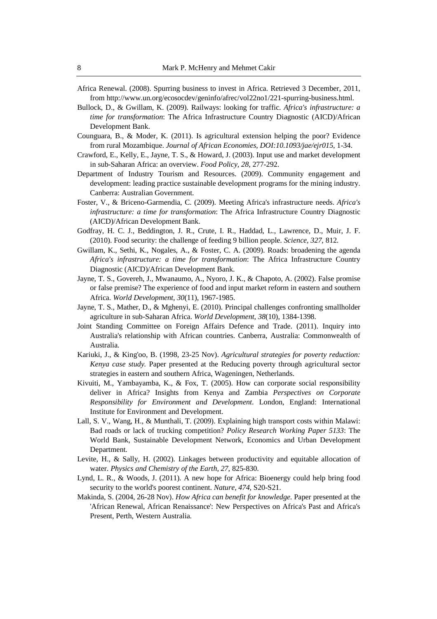- Africa Renewal. (2008). Spurring business to invest in Africa. Retrieved 3 December, 2011, from http://www.un.org/ecosocdev/geninfo/afrec/vol22no1/221-spurring-business.html.
- Bullock, D., & Gwillam, K. (2009). Railways: looking for traffic. *Africa's infrastructure: a time for transformation*: The Africa Infrastructure Country Diagnostic (AICD)/African Development Bank.
- Counguara, B., & Moder, K. (2011). Is agricultural extension helping the poor? Evidence from rural Mozambique. *Journal of African Economies, DOI:10.1093/jae/ejr015*, 1-34.
- Crawford, E., Kelly, E., Jayne, T. S., & Howard, J. (2003). Input use and market development in sub-Saharan Africa: an overview. *Food Policy, 28*, 277-292.
- Department of Industry Tourism and Resources. (2009). Community engagement and development: leading practice sustainable development programs for the mining industry. Canberra: Australian Government.
- Foster, V., & Briceno-Garmendia, C. (2009). Meeting Africa's infrastructure needs. *Africa's infrastructure: a time for transformation*: The Africa Infrastructure Country Diagnostic (AICD)/African Development Bank.
- Godfray, H. C. J., Beddington, J. R., Crute, I. R., Haddad, L., Lawrence, D., Muir, J. F. (2010). Food security: the challenge of feeding 9 billion people. *Science, 327*, 812.
- Gwillam, K., Sethi, K., Nogales, A., & Foster, C. A. (2009). Roads: broadening the agenda *Africa's infrastructure: a time for transformation*: The Africa Infrastructure Country Diagnostic (AICD)/African Development Bank.
- Jayne, T. S., Govereh, J., Mwanaumo, A., Nyoro, J. K., & Chapoto, A. (2002). False promise or false premise? The experience of food and input market reform in eastern and southern Africa. *World Development, 30*(11), 1967-1985.
- Jayne, T. S., Mather, D., & Mghenyi, E. (2010). Principal challenges confronting smallholder agriculture in sub-Saharan Africa. *World Development, 38*(10), 1384-1398.
- Joint Standing Committee on Foreign Affairs Defence and Trade. (2011). Inquiry into Australia's relationship with African countries. Canberra, Australia: Commonwealth of Australia.
- Kariuki, J., & King'oo, B. (1998, 23-25 Nov). *Agricultural strategies for poverty reduction: Kenya case study.* Paper presented at the Reducing poverty through agricultural sector strategies in eastern and southern Africa, Wageningen, Netherlands.
- Kivuiti, M., Yambayamba, K., & Fox, T. (2005). How can corporate social responsibility deliver in Africa? Insights from Kenya and Zambia *Perspectives on Corporate Responsibility for Environment and Development*. London, England: International Institute for Environment and Development.
- Lall, S. V., Wang, H., & Munthali, T. (2009). Explaining high transport costs within Malawi: Bad roads or lack of trucking competition? *Policy Research Working Paper 5133*: The World Bank, Sustainable Development Network, Economics and Urban Development Department.
- Levite, H., & Sally, H. (2002). Linkages between productivity and equitable allocation of water. *Physics and Chemistry of the Earth, 27*, 825-830.
- Lynd, L. R., & Woods, J. (2011). A new hope for Africa: Bioenergy could help bring food security to the world's poorest continent. *Nature, 474*, S20-S21.
- Makinda, S. (2004, 26-28 Nov). *How Africa can benefit for knowledge*. Paper presented at the 'African Renewal, African Renaissance': New Perspectives on Africa's Past and Africa's Present, Perth, Western Australia.